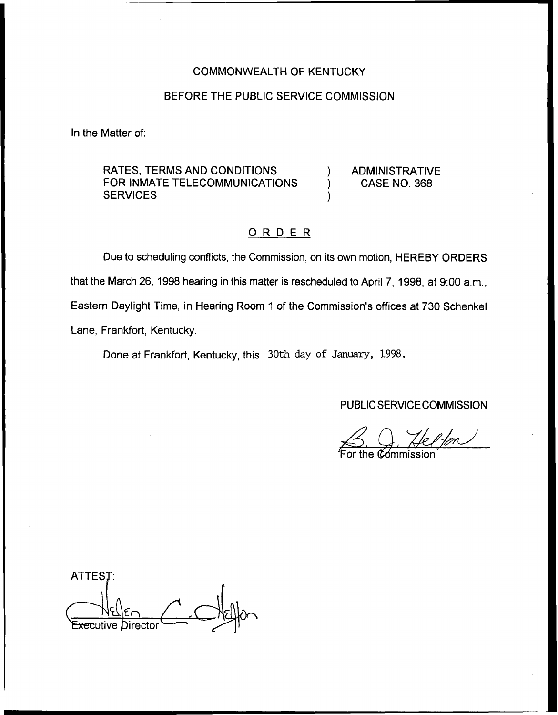# COMMONWEALTH OF KENTUCKY

### BEFORE THE PUBLIC SERVICE COMMISSION

In the Matter of:

RATES, TERMS AND CONDITIONS FOR INMATE TELECOMMUNICATIONS **SERVICES** 

) ADMINISTRATIVE ) CASE NO. 368

# ORDER

)

Due to scheduling conflicts, the Commission, on its own motion, HEREBY ORDERS that the March 26, 1998 hearing in this matter is rescheduled to April 7, 1998, at 9:00 a.m., Eastern Daylight Time, in Hearing Room <sup>1</sup> of the Commission's offices at 730 Schenkel Lane, Frankfort, Kentucky.

Done at Frankfort, Kentucky, this 30th day of January, 1998.

PUBLIC SERVICE COMMISSION

 $\bigotimes_{\mathsf{For \,} \mathsf{t}}$ the commission<br>3. Q. Helford

'For

ATTEST: <del>Exe</del>cutive Director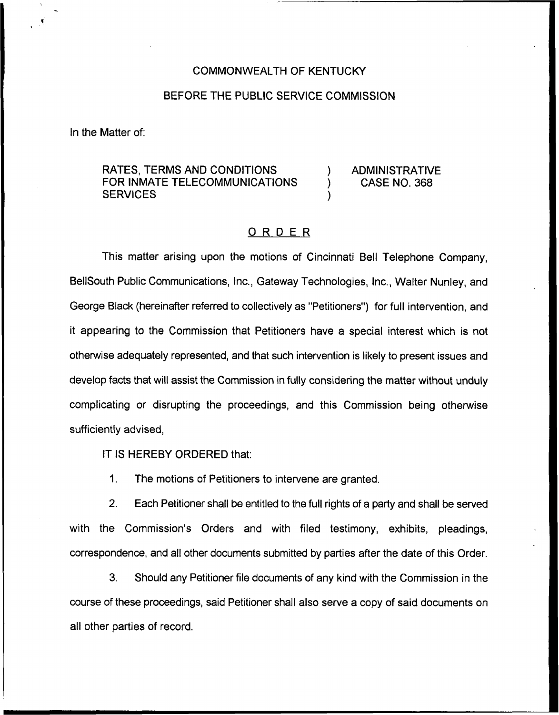# COMMONWEALTH OF KENTUCKY

#### BEFORE THE PUBLIC SERVICE COMMISSION

In the Matter of:

# RATES, TERMS AND CONDITIONS FOR INMATE TELECOMMUNICATIONS **SERVICES**

) ADMINISTRATIVE ) CASE NO. 368

# ORDER

)

This matter arising upon the motions of Cincinnati Bell Telephone Company, BellSouth Public Communications, Inc., Gateway Technologies, Inc., Walter Nunley, and George Black (hereinafter referred to collectively as "Petitioners") for full intervention, and it appearing to the Commission that Petitioners have a special interest which is not otherwise adequately represented, and that such intervention is likely to present issues and develop facts that will assist the Commission in fully considering the matter without unduly complicating or disrupting the proceedings, and this Commission being otherwise sufficiently advised,

IT IS HEREBY ORDERED that:

1. The motions of Petitioners to intervene are granted.

2, Each Petitioner shall be entitled to the full rights of a party and shall be served with the Commission's Orders and with filed testimony, exhibits, pleadings, correspondence, and all other documents submitted by parties after the date of this Order.

3. Should any Petitioner file documents of any kind with the Commission in the course of these proceedings, said Petitioner shall also serve a copy of said documents on all other parties of record.